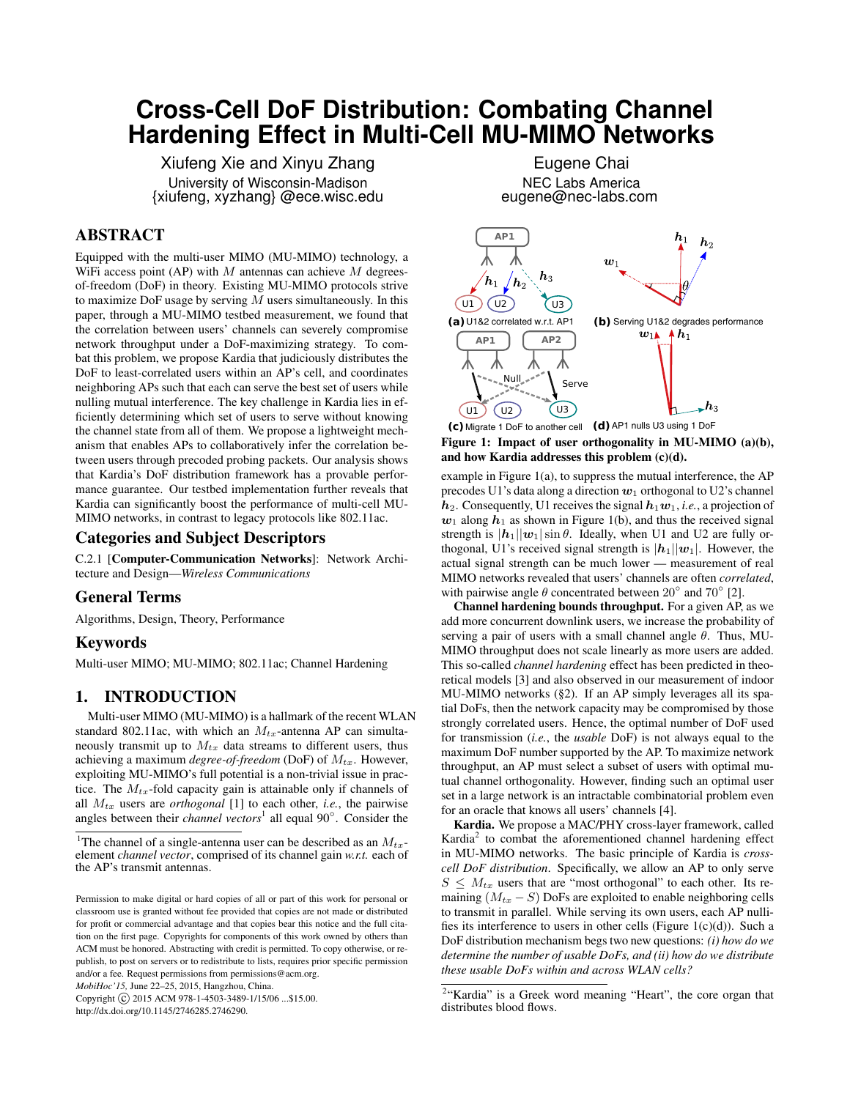# **Cross-Cell DoF Distribution: Combating Channel Hardening Effect in Multi-Cell MU-MIMO Networks**

Xiufeng Xie and Xinyu Zhang University of Wisconsin-Madison {xiufeng, xyzhang} @ece.wisc.edu

# ABSTRACT

Equipped with the multi-user MIMO (MU-MIMO) technology, a WiFi access point (AP) with  $M$  antennas can achieve  $M$  degreesof-freedom (DoF) in theory. Existing MU-MIMO protocols strive to maximize DoF usage by serving  $M$  users simultaneously. In this paper, through a MU-MIMO testbed measurement, we found that the correlation between users' channels can severely compromise network throughput under a DoF-maximizing strategy. To combat this problem, we propose Kardia that judiciously distributes the DoF to least-correlated users within an AP's cell, and coordinates neighboring APs such that each can serve the best set of users while nulling mutual interference. The key challenge in Kardia lies in efficiently determining which set of users to serve without knowing the channel state from all of them. We propose a lightweight mechanism that enables APs to collaboratively infer the correlation between users through precoded probing packets. Our analysis shows that Kardia's DoF distribution framework has a provable performance guarantee. Our testbed implementation further reveals that Kardia can significantly boost the performance of multi-cell MU-MIMO networks, in contrast to legacy protocols like 802.11ac.

# Categories and Subject Descriptors

C.2.1 [Computer-Communication Networks]: Network Architecture and Design—*Wireless Communications*

## General Terms

Algorithms, Design, Theory, Performance

## Keywords

Multi-user MIMO; MU-MIMO; 802.11ac; Channel Hardening

# 1. INTRODUCTION

Multi-user MIMO (MU-MIMO) is a hallmark of the recent WLAN standard 802.11ac, with which an  $M_{tx}$ -antenna AP can simultaneously transmit up to  $M_{tx}$  data streams to different users, thus achieving a maximum *degree-of-freedom* (DoF) of  $M_{tx}$ . However, exploiting MU-MIMO's full potential is a non-trivial issue in practice. The  $M_{tx}$ -fold capacity gain is attainable only if channels of all  $M_{tx}$  users are *orthogonal* [1] to each other, *i.e.*, the pairwise angles between their *channel vectors*<sup>1</sup> all equal 90°. Consider the

*MobiHoc'15,* June 22–25, 2015, Hangzhou, China.

Copyright © 2015 ACM 978-1-4503-3489-1/15/06 ... \$15.00. http://dx.doi.org/10.1145/2746285.2746290.



Eugene Chai NEC Labs America eugene@nec-labs.com

Migrate 1 DoF to another cell AP1 nulls U3 using 1 DoF **(c) (d)** Figure 1: Impact of user orthogonality in MU-MIMO (a)(b), and how Kardia addresses this problem (c)(d).

example in Figure 1(a), to suppress the mutual interference, the AP precodes U1's data along a direction  $w_1$  orthogonal to U2's channel  $h_2$ . Consequently, U1 receives the signal  $h_1w_1$ , *i.e.*, a projection of  $w_1$  along  $h_1$  as shown in Figure 1(b), and thus the received signal strength is  $|h_1||w_1| \sin \theta$ . Ideally, when U1 and U2 are fully orthogonal, U1's received signal strength is  $|h_1||w_1|$ . However, the actual signal strength can be much lower — measurement of real MIMO networks revealed that users' channels are often *correlated*, with pairwise angle  $\theta$  concentrated between  $20^{\circ}$  and  $70^{\circ}$  [2].

Channel hardening bounds throughput. For a given AP, as we add more concurrent downlink users, we increase the probability of serving a pair of users with a small channel angle  $\theta$ . Thus, MU-MIMO throughput does not scale linearly as more users are added. This so-called *channel hardening* effect has been predicted in theoretical models [3] and also observed in our measurement of indoor MU-MIMO networks (§2). If an AP simply leverages all its spatial DoFs, then the network capacity may be compromised by those strongly correlated users. Hence, the optimal number of DoF used for transmission (*i.e.*, the *usable* DoF) is not always equal to the maximum DoF number supported by the AP. To maximize network throughput, an AP must select a subset of users with optimal mutual channel orthogonality. However, finding such an optimal user set in a large network is an intractable combinatorial problem even for an oracle that knows all users' channels [4].

Kardia. We propose a MAC/PHY cross-layer framework, called Kardia<sup>2</sup> to combat the aforementioned channel hardening effect in MU-MIMO networks. The basic principle of Kardia is *crosscell DoF distribution*. Specifically, we allow an AP to only serve  $S \n\leq M_{tx}$  users that are "most orthogonal" to each other. Its remaining  $(M_{tx} - S)$  DoFs are exploited to enable neighboring cells to transmit in parallel. While serving its own users, each AP nullifies its interference to users in other cells (Figure  $1(c)(d)$ ). Such a DoF distribution mechanism begs two new questions: *(i) how do we determine the number of usable DoFs, and (ii) how do we distribute these usable DoFs within and across WLAN cells?*

<sup>&</sup>lt;sup>1</sup>The channel of a single-antenna user can be described as an  $M_{tx}$ element *channel vector*, comprised of its channel gain *w.r.t.* each of the AP's transmit antennas.

Permission to make digital or hard copies of all or part of this work for personal or classroom use is granted without fee provided that copies are not made or distributed for profit or commercial advantage and that copies bear this notice and the full citation on the first page. Copyrights for components of this work owned by others than ACM must be honored. Abstracting with credit is permitted. To copy otherwise, or republish, to post on servers or to redistribute to lists, requires prior specific permission and/or a fee. Request permissions from permissions@acm.org.

<sup>&</sup>lt;sup>2</sup>"Kardia" is a Greek word meaning "Heart", the core organ that distributes blood flows.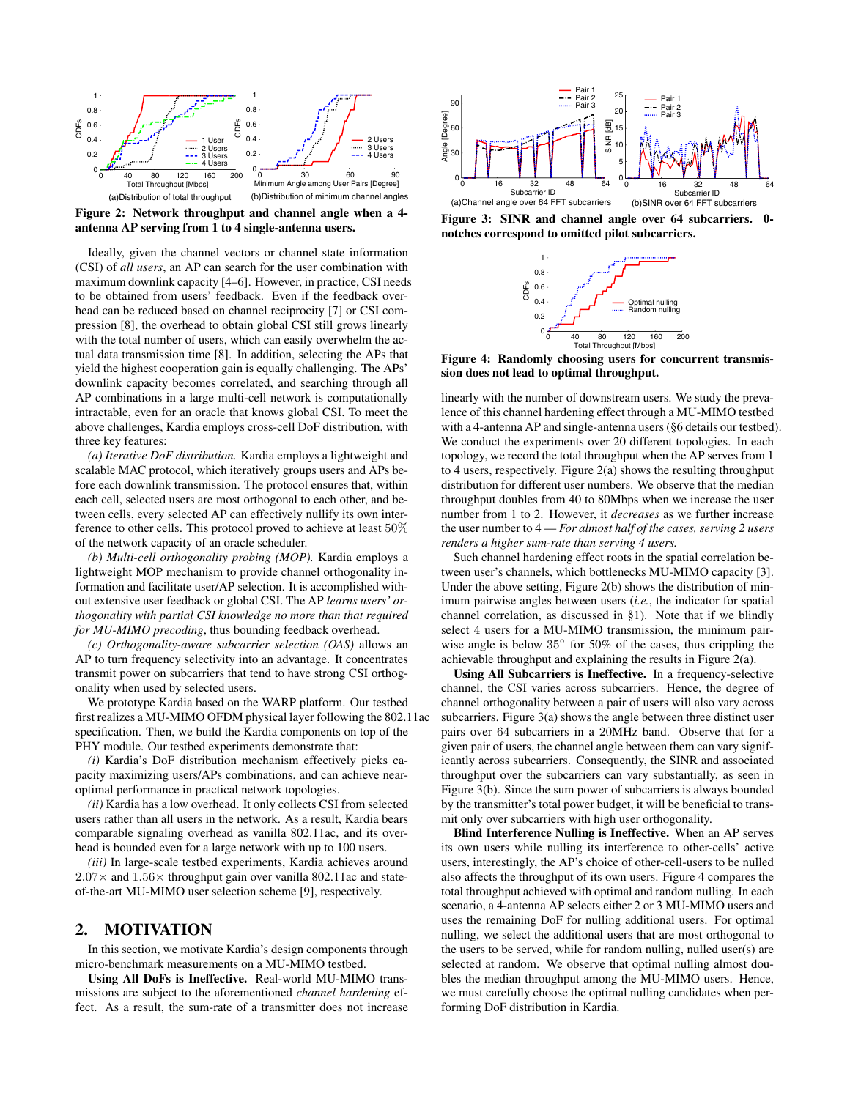

Figure 2: Network throughput and channel angle when a 4 antenna AP serving from 1 to 4 single-antenna users.

Ideally, given the channel vectors or channel state information (CSI) of *all users*, an AP can search for the user combination with maximum downlink capacity [4–6]. However, in practice, CSI needs to be obtained from users' feedback. Even if the feedback overhead can be reduced based on channel reciprocity [7] or CSI compression [8], the overhead to obtain global CSI still grows linearly with the total number of users, which can easily overwhelm the actual data transmission time [8]. In addition, selecting the APs that yield the highest cooperation gain is equally challenging. The APs' downlink capacity becomes correlated, and searching through all AP combinations in a large multi-cell network is computationally intractable, even for an oracle that knows global CSI. To meet the above challenges, Kardia employs cross-cell DoF distribution, with three key features:

*(a) Iterative DoF distribution.* Kardia employs a lightweight and scalable MAC protocol, which iteratively groups users and APs before each downlink transmission. The protocol ensures that, within each cell, selected users are most orthogonal to each other, and between cells, every selected AP can effectively nullify its own interference to other cells. This protocol proved to achieve at least 50% of the network capacity of an oracle scheduler.

*(b) Multi-cell orthogonality probing (MOP).* Kardia employs a lightweight MOP mechanism to provide channel orthogonality information and facilitate user/AP selection. It is accomplished without extensive user feedback or global CSI. The AP *learns users' orthogonality with partial CSI knowledge no more than that required for MU-MIMO precoding*, thus bounding feedback overhead.

*(c) Orthogonality-aware subcarrier selection (OAS)* allows an AP to turn frequency selectivity into an advantage. It concentrates transmit power on subcarriers that tend to have strong CSI orthogonality when used by selected users.

We prototype Kardia based on the WARP platform. Our testbed first realizes a MU-MIMO OFDM physical layer following the 802.11ac specification. Then, we build the Kardia components on top of the PHY module. Our testbed experiments demonstrate that:

*(i)* Kardia's DoF distribution mechanism effectively picks capacity maximizing users/APs combinations, and can achieve nearoptimal performance in practical network topologies.

*(ii)* Kardia has a low overhead. It only collects CSI from selected users rather than all users in the network. As a result, Kardia bears comparable signaling overhead as vanilla 802.11ac, and its overhead is bounded even for a large network with up to 100 users.

*(iii)* In large-scale testbed experiments, Kardia achieves around  $2.07\times$  and  $1.56\times$  throughput gain over vanilla 802.11ac and stateof-the-art MU-MIMO user selection scheme [9], respectively.

## 2. MOTIVATION

In this section, we motivate Kardia's design components through micro-benchmark measurements on a MU-MIMO testbed.

Using All DoFs is Ineffective. Real-world MU-MIMO transmissions are subject to the aforementioned *channel hardening* effect. As a result, the sum-rate of a transmitter does not increase



Figure 3: SINR and channel angle over 64 subcarriers. 0 notches correspond to omitted pilot subcarriers.



Figure 4: Randomly choosing users for concurrent transmission does not lead to optimal throughput.

linearly with the number of downstream users. We study the prevalence of this channel hardening effect through a MU-MIMO testbed with a 4-antenna AP and single-antenna users (§6 details our testbed). We conduct the experiments over 20 different topologies. In each topology, we record the total throughput when the AP serves from 1 to 4 users, respectively. Figure 2(a) shows the resulting throughput distribution for different user numbers. We observe that the median throughput doubles from 40 to 80Mbps when we increase the user number from 1 to 2. However, it *decreases* as we further increase the user number to 4 — *For almost half of the cases, serving 2 users renders a higher sum-rate than serving 4 users.*

Such channel hardening effect roots in the spatial correlation between user's channels, which bottlenecks MU-MIMO capacity [3]. Under the above setting, Figure 2(b) shows the distribution of minimum pairwise angles between users (*i.e.*, the indicator for spatial channel correlation, as discussed in §1). Note that if we blindly select 4 users for a MU-MIMO transmission, the minimum pairwise angle is below 35° for 50% of the cases, thus crippling the achievable throughput and explaining the results in Figure 2(a).

Using All Subcarriers is Ineffective. In a frequency-selective channel, the CSI varies across subcarriers. Hence, the degree of channel orthogonality between a pair of users will also vary across subcarriers. Figure 3(a) shows the angle between three distinct user pairs over 64 subcarriers in a 20MHz band. Observe that for a given pair of users, the channel angle between them can vary significantly across subcarriers. Consequently, the SINR and associated throughput over the subcarriers can vary substantially, as seen in Figure 3(b). Since the sum power of subcarriers is always bounded by the transmitter's total power budget, it will be beneficial to transmit only over subcarriers with high user orthogonality.

Blind Interference Nulling is Ineffective. When an AP serves its own users while nulling its interference to other-cells' active users, interestingly, the AP's choice of other-cell-users to be nulled also affects the throughput of its own users. Figure 4 compares the total throughput achieved with optimal and random nulling. In each scenario, a 4-antenna AP selects either 2 or 3 MU-MIMO users and uses the remaining DoF for nulling additional users. For optimal nulling, we select the additional users that are most orthogonal to the users to be served, while for random nulling, nulled user(s) are selected at random. We observe that optimal nulling almost doubles the median throughput among the MU-MIMO users. Hence, we must carefully choose the optimal nulling candidates when performing DoF distribution in Kardia.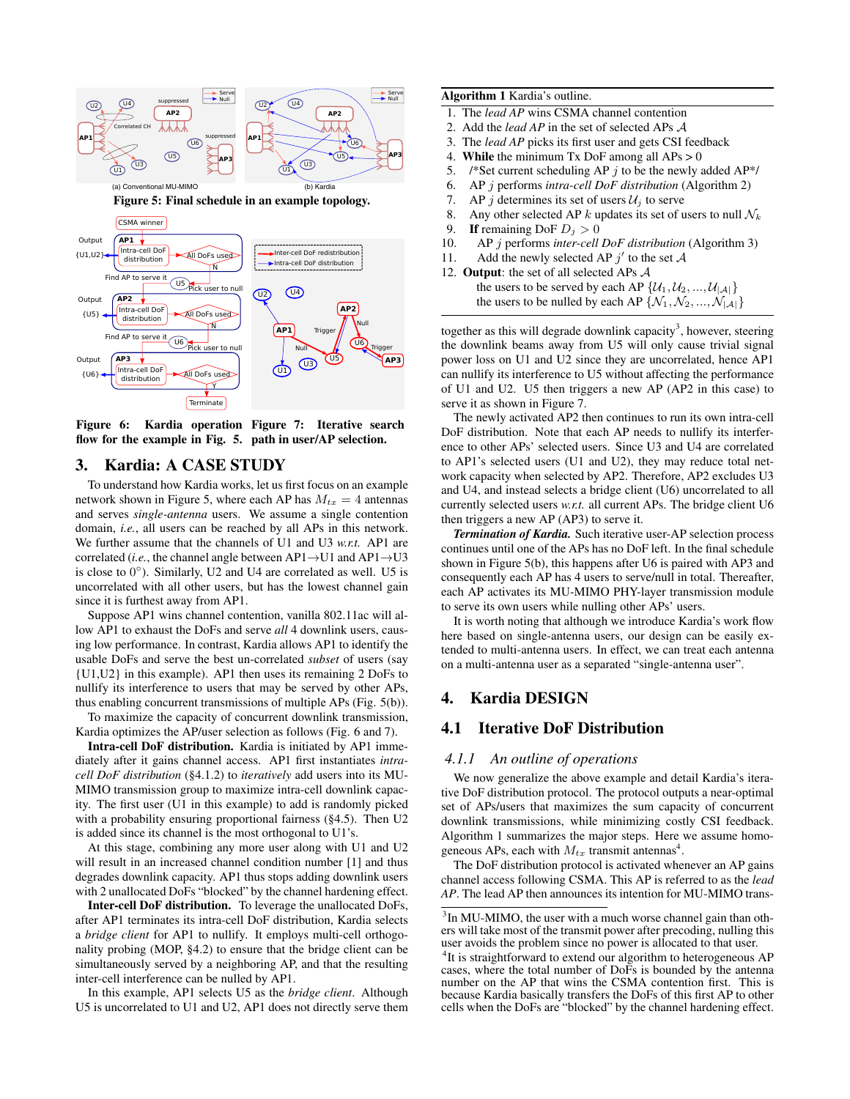

Figure 6: Kardia operation Figure 7: Iterative search flow for the example in Fig. 5. path in user/AP selection.

## 3. Kardia: A CASE STUDY

To understand how Kardia works, let us first focus on an example network shown in Figure 5, where each AP has  $M_{tx} = 4$  antennas and serves *single-antenna* users. We assume a single contention domain, *i.e.*, all users can be reached by all APs in this network. We further assume that the channels of U1 and U3 *w.r.t.* AP1 are correlated (*i.e.*, the channel angle between AP1→U1 and AP1→U3 is close to  $0^\circ$ ). Similarly, U2 and U4 are correlated as well. U5 is uncorrelated with all other users, but has the lowest channel gain since it is furthest away from AP1.

Suppose AP1 wins channel contention, vanilla 802.11ac will allow AP1 to exhaust the DoFs and serve *all* 4 downlink users, causing low performance. In contrast, Kardia allows AP1 to identify the usable DoFs and serve the best un-correlated *subset* of users (say {U1,U2} in this example). AP1 then uses its remaining 2 DoFs to nullify its interference to users that may be served by other APs, thus enabling concurrent transmissions of multiple APs (Fig. 5(b)).

To maximize the capacity of concurrent downlink transmission, Kardia optimizes the AP/user selection as follows (Fig. 6 and 7).

Intra-cell DoF distribution. Kardia is initiated by AP1 immediately after it gains channel access. AP1 first instantiates *intracell DoF distribution* (§4.1.2) to *iteratively* add users into its MU-MIMO transmission group to maximize intra-cell downlink capacity. The first user (U1 in this example) to add is randomly picked with a probability ensuring proportional fairness (§4.5). Then U2 is added since its channel is the most orthogonal to U1's.

At this stage, combining any more user along with U1 and U2 will result in an increased channel condition number [1] and thus degrades downlink capacity. AP1 thus stops adding downlink users with 2 unallocated DoFs "blocked" by the channel hardening effect.

Inter-cell DoF distribution. To leverage the unallocated DoFs, after AP1 terminates its intra-cell DoF distribution, Kardia selects a *bridge client* for AP1 to nullify. It employs multi-cell orthogonality probing (MOP, §4.2) to ensure that the bridge client can be simultaneously served by a neighboring AP, and that the resulting inter-cell interference can be nulled by AP1.

In this example, AP1 selects U5 as the *bridge client*. Although U5 is uncorrelated to U1 and U2, AP1 does not directly serve them

#### Algorithm 1 Kardia's outline.

- 1. The *lead AP* wins CSMA channel contention
- 2. Add the *lead AP* in the set of selected APs A
- 3. The *lead AP* picks its first user and gets CSI feedback
- 4. While the minimum  $Tx$  DoF among all  $APs > 0$
- 5. /\*Set current scheduling AP  $j$  to be the newly added AP\*/
- 6. AP j performs *intra-cell DoF distribution* (Algorithm 2)
- 7. AP j determines its set of users  $\mathcal{U}_i$  to serve
- 8. Any other selected AP k updates its set of users to null  $\mathcal{N}_k$ <br>9. If remaining DoF  $D_i > 0$
- **If** remaining DoF  $D_j > 0$
- 10. AP j performs *inter-cell DoF distribution* (Algorithm 3)
- 11. Add the newly selected AP  $j'$  to the set A
- 12. Output: the set of all selected APs  $A$ the users to be served by each AP  $\{U_1, U_2, ..., U_{|\mathcal{A}|}\}$ the users to be nulled by each AP  $\{N_1, N_2, ..., N_{|\mathcal{A}|}\}\$

together as this will degrade downlink capacity<sup>3</sup>, however, steering the downlink beams away from U5 will only cause trivial signal power loss on U1 and U2 since they are uncorrelated, hence AP1 can nullify its interference to U5 without affecting the performance of U1 and U2. U5 then triggers a new AP (AP2 in this case) to serve it as shown in Figure 7.

The newly activated AP2 then continues to run its own intra-cell DoF distribution. Note that each AP needs to nullify its interference to other APs' selected users. Since U3 and U4 are correlated to AP1's selected users (U1 and U2), they may reduce total network capacity when selected by AP2. Therefore, AP2 excludes U3 and U4, and instead selects a bridge client (U6) uncorrelated to all currently selected users *w.r.t.* all current APs. The bridge client U6 then triggers a new AP (AP3) to serve it.

*Termination of Kardia.* Such iterative user-AP selection process continues until one of the APs has no DoF left. In the final schedule shown in Figure 5(b), this happens after U6 is paired with AP3 and consequently each AP has 4 users to serve/null in total. Thereafter, each AP activates its MU-MIMO PHY-layer transmission module to serve its own users while nulling other APs' users.

It is worth noting that although we introduce Kardia's work flow here based on single-antenna users, our design can be easily extended to multi-antenna users. In effect, we can treat each antenna on a multi-antenna user as a separated "single-antenna user".

## 4. Kardia DESIGN

## 4.1 Iterative DoF Distribution

#### *4.1.1 An outline of operations*

We now generalize the above example and detail Kardia's iterative DoF distribution protocol. The protocol outputs a near-optimal set of APs/users that maximizes the sum capacity of concurrent downlink transmissions, while minimizing costly CSI feedback. Algorithm 1 summarizes the major steps. Here we assume homogeneous APs, each with  $M_{tx}$  transmit antennas<sup>4</sup>.

The DoF distribution protocol is activated whenever an AP gains channel access following CSMA. This AP is referred to as the *lead AP*. The lead AP then announces its intention for MU-MIMO trans-

 $3$ In MU-MIMO, the user with a much worse channel gain than others will take most of the transmit power after precoding, nulling this user avoids the problem since no power is allocated to that user.

<sup>&</sup>lt;sup>4</sup>It is straightforward to extend our algorithm to heterogeneous AP cases, where the total number of DoFs is bounded by the antenna number on the AP that wins the CSMA contention first. This is because Kardia basically transfers the DoFs of this first AP to other cells when the DoFs are "blocked" by the channel hardening effect.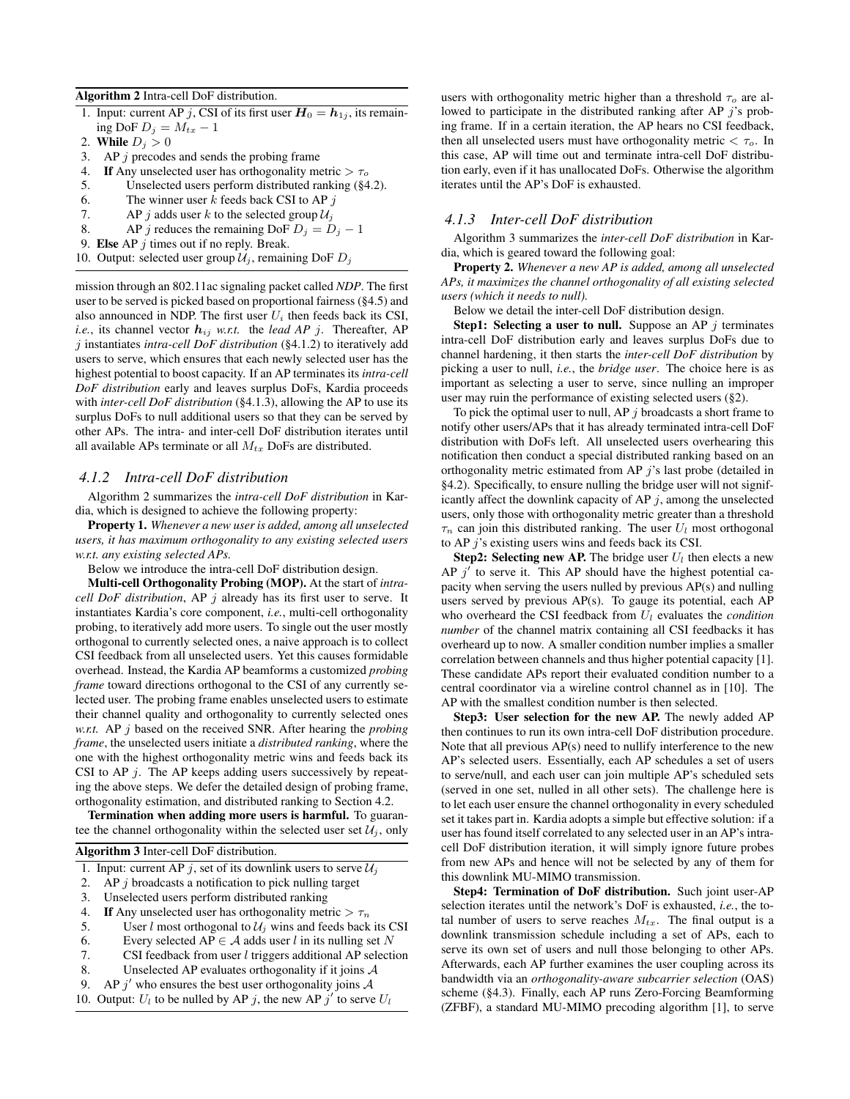Algorithm 2 Intra-cell DoF distribution.

1. Input: current AP j, CSI of its first user  $H_0 = h_{1j}$ , its remaining DoF  $D_j = M_{tx} - 1$ 

- 2. While  $D_i > 0$
- 3. AP  $j$  precodes and sends the probing frame
- 4. If Any unselected user has orthogonality metric  $>\tau_o$
- 5. Unselected users perform distributed ranking (§4.2).
- 6. The winner user  $k$  feeds back CSI to AP  $j$
- 7. AP j adds user k to the selected group  $\mathcal{U}_i$
- 8. AP j reduces the remaining DoF  $D_i = D_i 1$
- 9. Else AP  $j$  times out if no reply. Break.
- 10. Output: selected user group  $\mathcal{U}_i$ , remaining DoF  $D_i$

mission through an 802.11ac signaling packet called *NDP*. The first user to be served is picked based on proportional fairness (§4.5) and also announced in NDP. The first user  $U_i$  then feeds back its CSI, *i.e.*, its channel vector  $h_{ij}$  *w.r.t.* the *lead AP j.* Thereafter, AP j instantiates *intra-cell DoF distribution* (§4.1.2) to iteratively add users to serve, which ensures that each newly selected user has the highest potential to boost capacity. If an AP terminates its *intra-cell DoF distribution* early and leaves surplus DoFs, Kardia proceeds with *inter-cell DoF distribution* (§4.1.3), allowing the AP to use its surplus DoFs to null additional users so that they can be served by other APs. The intra- and inter-cell DoF distribution iterates until all available APs terminate or all  $M_{tx}$  DoFs are distributed.

#### *4.1.2 Intra-cell DoF distribution*

Algorithm 2 summarizes the *intra-cell DoF distribution* in Kardia, which is designed to achieve the following property:

Property 1. *Whenever a new user is added, among all unselected users, it has maximum orthogonality to any existing selected users w.r.t. any existing selected APs.*

Below we introduce the intra-cell DoF distribution design.

Multi-cell Orthogonality Probing (MOP). At the start of *intracell DoF distribution*, AP j already has its first user to serve. It instantiates Kardia's core component, *i.e.*, multi-cell orthogonality probing, to iteratively add more users. To single out the user mostly orthogonal to currently selected ones, a naive approach is to collect CSI feedback from all unselected users. Yet this causes formidable overhead. Instead, the Kardia AP beamforms a customized *probing frame* toward directions orthogonal to the CSI of any currently selected user. The probing frame enables unselected users to estimate their channel quality and orthogonality to currently selected ones *w.r.t.* AP j based on the received SNR. After hearing the *probing frame*, the unselected users initiate a *distributed ranking*, where the one with the highest orthogonality metric wins and feeds back its CSI to AP  $j$ . The AP keeps adding users successively by repeating the above steps. We defer the detailed design of probing frame, orthogonality estimation, and distributed ranking to Section 4.2.

Termination when adding more users is harmful. To guarantee the channel orthogonality within the selected user set  $\mathcal{U}_j$ , only

- 1. Input: current AP j, set of its downlink users to serve  $\mathcal{U}_i$
- 2. AP  $i$  broadcasts a notification to pick nulling target
- 3. Unselected users perform distributed ranking
- 4. If Any unselected user has orthogonality metric  $>\tau_n$
- 5. User l most orthogonal to  $\mathcal{U}_i$  wins and feeds back its CSI
- 6. Every selected AP  $\in \mathcal{A}$  adds user l in its nulling set N
- 7. CSI feedback from user  $l$  triggers additional AP selection
- 8. Unselected AP evaluates orthogonality if it joins A
- 9. AP  $j'$  who ensures the best user orthogonality joins  $A$

10. Output:  $U_l$  to be nulled by AP j, the new AP j' to serve  $U_l$ 

users with orthogonality metric higher than a threshold  $\tau_o$  are allowed to participate in the distributed ranking after AP j's probing frame. If in a certain iteration, the AP hears no CSI feedback, then all unselected users must have orthogonality metric  $\langle \tau_o$ . In this case, AP will time out and terminate intra-cell DoF distribution early, even if it has unallocated DoFs. Otherwise the algorithm iterates until the AP's DoF is exhausted.

## *4.1.3 Inter-cell DoF distribution*

Algorithm 3 summarizes the *inter-cell DoF distribution* in Kardia, which is geared toward the following goal:

Property 2. *Whenever a new AP is added, among all unselected APs, it maximizes the channel orthogonality of all existing selected users (which it needs to null).*

Below we detail the inter-cell DoF distribution design.

**Step1: Selecting a user to null.** Suppose an AP  $j$  terminates intra-cell DoF distribution early and leaves surplus DoFs due to channel hardening, it then starts the *inter-cell DoF distribution* by picking a user to null, *i.e.*, the *bridge user*. The choice here is as important as selecting a user to serve, since nulling an improper user may ruin the performance of existing selected users (§2).

To pick the optimal user to null, AP  $j$  broadcasts a short frame to notify other users/APs that it has already terminated intra-cell DoF distribution with DoFs left. All unselected users overhearing this notification then conduct a special distributed ranking based on an orthogonality metric estimated from AP j's last probe (detailed in §4.2). Specifically, to ensure nulling the bridge user will not significantly affect the downlink capacity of  $AP j$ , among the unselected users, only those with orthogonality metric greater than a threshold  $\tau_n$  can join this distributed ranking. The user  $U_l$  most orthogonal to AP j's existing users wins and feeds back its CSI.

**Step2: Selecting new AP.** The bridge user  $U_l$  then elects a new AP  $j'$  to serve it. This AP should have the highest potential capacity when serving the users nulled by previous AP(s) and nulling users served by previous AP(s). To gauge its potential, each AP who overheard the CSI feedback from  $U_l$  evaluates the *condition number* of the channel matrix containing all CSI feedbacks it has overheard up to now. A smaller condition number implies a smaller correlation between channels and thus higher potential capacity [1]. These candidate APs report their evaluated condition number to a central coordinator via a wireline control channel as in [10]. The AP with the smallest condition number is then selected.

Step3: User selection for the new AP. The newly added AP then continues to run its own intra-cell DoF distribution procedure. Note that all previous AP(s) need to nullify interference to the new AP's selected users. Essentially, each AP schedules a set of users to serve/null, and each user can join multiple AP's scheduled sets (served in one set, nulled in all other sets). The challenge here is to let each user ensure the channel orthogonality in every scheduled set it takes part in. Kardia adopts a simple but effective solution: if a user has found itself correlated to any selected user in an AP's intracell DoF distribution iteration, it will simply ignore future probes from new APs and hence will not be selected by any of them for this downlink MU-MIMO transmission.

Step4: Termination of DoF distribution. Such joint user-AP selection iterates until the network's DoF is exhausted, *i.e.*, the total number of users to serve reaches  $M_{tx}$ . The final output is a downlink transmission schedule including a set of APs, each to serve its own set of users and null those belonging to other APs. Afterwards, each AP further examines the user coupling across its bandwidth via an *orthogonality-aware subcarrier selection* (OAS) scheme (§4.3). Finally, each AP runs Zero-Forcing Beamforming (ZFBF), a standard MU-MIMO precoding algorithm [1], to serve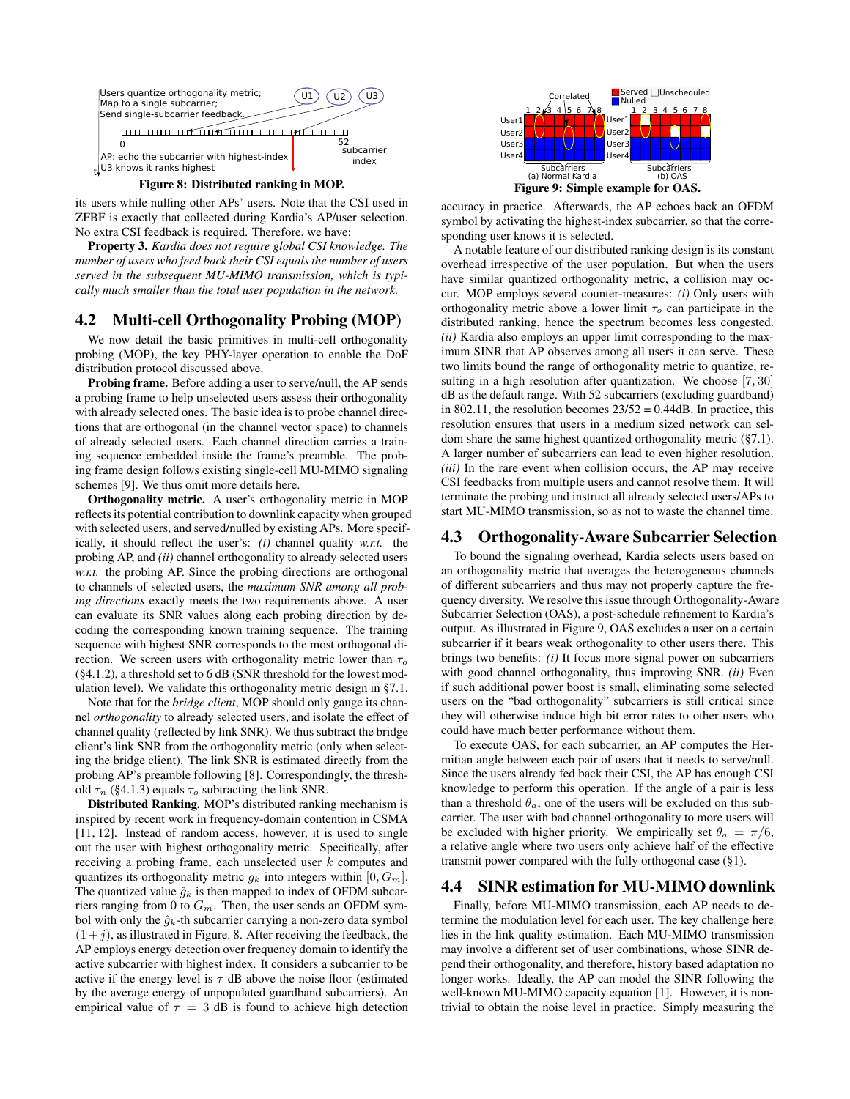

Figure 8: Distributed ranking in MOP.

its users while nulling other APs' users. Note that the CSI used in ZFBF is exactly that collected during Kardia's AP/user selection. No extra CSI feedback is required. Therefore, we have:

Property 3. *Kardia does not require global CSI knowledge. The number of users who feed back their CSI equals the number of users served in the subsequent MU-MIMO transmission, which is typically much smaller than the total user population in the network.*

# 4.2 Multi-cell Orthogonality Probing (MOP)

We now detail the basic primitives in multi-cell orthogonality probing (MOP), the key PHY-layer operation to enable the DoF distribution protocol discussed above.

Probing frame. Before adding a user to serve/null, the AP sends a probing frame to help unselected users assess their orthogonality with already selected ones. The basic idea is to probe channel directions that are orthogonal (in the channel vector space) to channels of already selected users. Each channel direction carries a training sequence embedded inside the frame's preamble. The probing frame design follows existing single-cell MU-MIMO signaling schemes [9]. We thus omit more details here.

Orthogonality metric. A user's orthogonality metric in MOP reflects its potential contribution to downlink capacity when grouped with selected users, and served/nulled by existing APs. More specifically, it should reflect the user's: *(i)* channel quality *w.r.t.* the probing AP, and *(ii)* channel orthogonality to already selected users *w.r.t.* the probing AP. Since the probing directions are orthogonal to channels of selected users, the *maximum SNR among all probing directions* exactly meets the two requirements above. A user can evaluate its SNR values along each probing direction by decoding the corresponding known training sequence. The training sequence with highest SNR corresponds to the most orthogonal direction. We screen users with orthogonality metric lower than  $\tau_o$ (§4.1.2), a threshold set to 6 dB (SNR threshold for the lowest modulation level). We validate this orthogonality metric design in §7.1.

Note that for the *bridge client*, MOP should only gauge its channel *orthogonality* to already selected users, and isolate the effect of channel quality (reflected by link SNR). We thus subtract the bridge client's link SNR from the orthogonality metric (only when selecting the bridge client). The link SNR is estimated directly from the probing AP's preamble following [8]. Correspondingly, the threshold  $\tau_n$  (§4.1.3) equals  $\tau_o$  subtracting the link SNR.

Distributed Ranking. MOP's distributed ranking mechanism is inspired by recent work in frequency-domain contention in CSMA [11, 12]. Instead of random access, however, it is used to single out the user with highest orthogonality metric. Specifically, after receiving a probing frame, each unselected user k computes and quantizes its orthogonality metric  $g_k$  into integers within  $[0, G_m]$ . The quantized value  $\hat{g}_k$  is then mapped to index of OFDM subcarriers ranging from 0 to  $G_m$ . Then, the user sends an OFDM symbol with only the  $\hat{g}_k$ -th subcarrier carrying a non-zero data symbol  $(1+j)$ , as illustrated in Figure. 8. After receiving the feedback, the AP employs energy detection over frequency domain to identify the active subcarrier with highest index. It considers a subcarrier to be active if the energy level is  $\tau$  dB above the noise floor (estimated by the average energy of unpopulated guardband subcarriers). An empirical value of  $\tau = 3$  dB is found to achieve high detection



accuracy in practice. Afterwards, the AP echoes back an OFDM symbol by activating the highest-index subcarrier, so that the corresponding user knows it is selected.

A notable feature of our distributed ranking design is its constant overhead irrespective of the user population. But when the users have similar quantized orthogonality metric, a collision may occur. MOP employs several counter-measures: *(i)* Only users with orthogonality metric above a lower limit  $\tau_0$  can participate in the distributed ranking, hence the spectrum becomes less congested. *(ii)* Kardia also employs an upper limit corresponding to the maximum SINR that AP observes among all users it can serve. These two limits bound the range of orthogonality metric to quantize, resulting in a high resolution after quantization. We choose [7, 30] dB as the default range. With 52 subcarriers (excluding guardband) in 802.11, the resolution becomes  $23/52 = 0.44$ dB. In practice, this resolution ensures that users in a medium sized network can seldom share the same highest quantized orthogonality metric (§7.1). A larger number of subcarriers can lead to even higher resolution. *(iii)* In the rare event when collision occurs, the AP may receive CSI feedbacks from multiple users and cannot resolve them. It will terminate the probing and instruct all already selected users/APs to start MU-MIMO transmission, so as not to waste the channel time.

#### 4.3 Orthogonality-Aware Subcarrier Selection

To bound the signaling overhead, Kardia selects users based on an orthogonality metric that averages the heterogeneous channels of different subcarriers and thus may not properly capture the frequency diversity. We resolve this issue through Orthogonality-Aware Subcarrier Selection (OAS), a post-schedule refinement to Kardia's output. As illustrated in Figure 9, OAS excludes a user on a certain subcarrier if it bears weak orthogonality to other users there. This brings two benefits: *(i)* It focus more signal power on subcarriers with good channel orthogonality, thus improving SNR. *(ii)* Even if such additional power boost is small, eliminating some selected users on the "bad orthogonality" subcarriers is still critical since they will otherwise induce high bit error rates to other users who could have much better performance without them.

To execute OAS, for each subcarrier, an AP computes the Hermitian angle between each pair of users that it needs to serve/null. Since the users already fed back their CSI, the AP has enough CSI knowledge to perform this operation. If the angle of a pair is less than a threshold  $\theta_a$ , one of the users will be excluded on this subcarrier. The user with bad channel orthogonality to more users will be excluded with higher priority. We empirically set  $\theta_a = \pi/6$ , a relative angle where two users only achieve half of the effective transmit power compared with the fully orthogonal case (§1).

## 4.4 SINR estimation for MU-MIMO downlink

Finally, before MU-MIMO transmission, each AP needs to determine the modulation level for each user. The key challenge here lies in the link quality estimation. Each MU-MIMO transmission may involve a different set of user combinations, whose SINR depend their orthogonality, and therefore, history based adaptation no longer works. Ideally, the AP can model the SINR following the well-known MU-MIMO capacity equation [1]. However, it is nontrivial to obtain the noise level in practice. Simply measuring the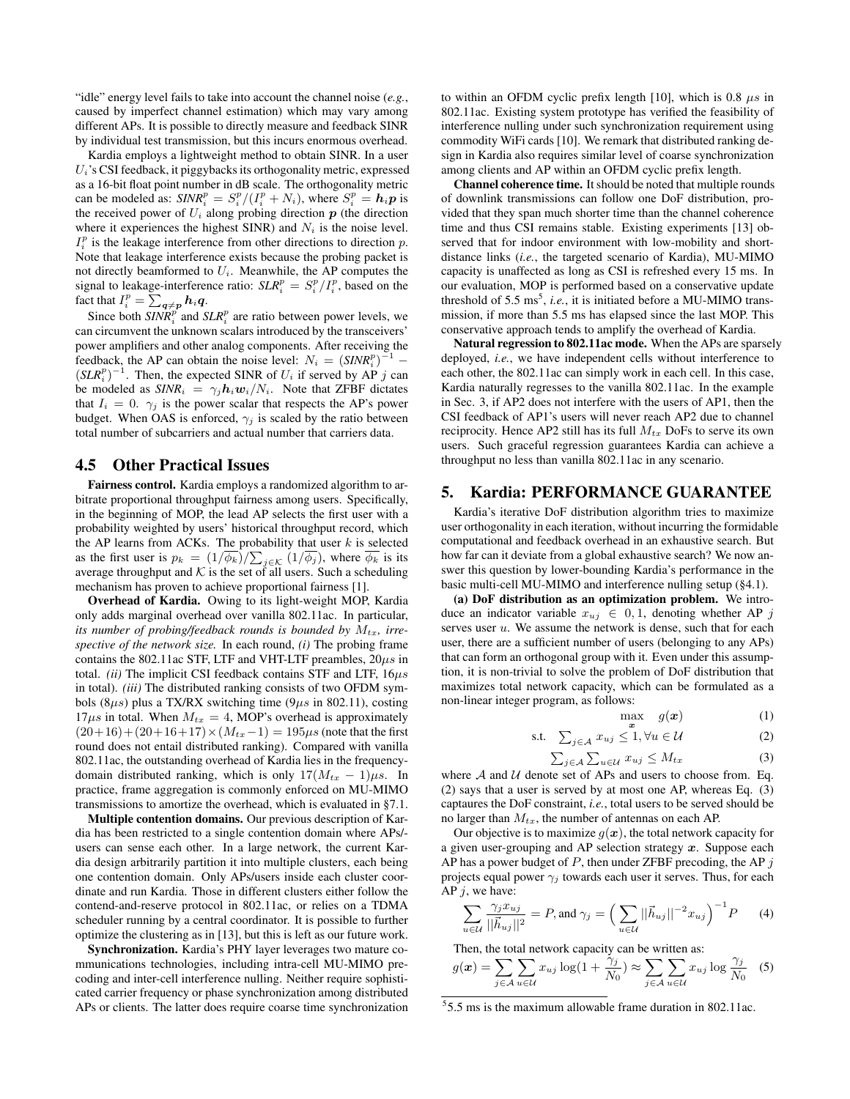"idle" energy level fails to take into account the channel noise (*e.g.*, caused by imperfect channel estimation) which may vary among different APs. It is possible to directly measure and feedback SINR by individual test transmission, but this incurs enormous overhead.

Kardia employs a lightweight method to obtain SINR. In a user  $U_i$ 's CSI feedback, it piggybacks its orthogonality metric, expressed as a 16-bit float point number in dB scale. The orthogonality metric can be modeled as:  $SINR_i^p = S_i^p/(I_i^p + N_i)$ , where  $S_i^p = h_i p$  is the received power of  $U_i$  along probing direction  $p$  (the direction where it experiences the highest SINR) and  $N_i$  is the noise level.  $I_i^p$  is the leakage interference from other directions to direction  $p$ . Note that leakage interference exists because the probing packet is not directly beamformed to  $U_i$ . Meanwhile, the AP computes the signal to leakage-interference ratio:  $SLR_i^p = S_i^p/I_i^p$ , based on the fact that  $I_i^p = \sum_{\mathbf{q} \neq \mathbf{p}} \mathbf{h}_i \mathbf{q}$ .

Since both  $SINR_i^p$  and  $SLR_i^p$  are ratio between power levels, we can circumvent the unknown scalars introduced by the transceivers' power amplifiers and other analog components. After receiving the feedback, the AP can obtain the noise level:  $N_i = (SINR_i^p)^{-1}$  –  $(SLR_i^p)^{-1}$ . Then, the expected SINR of  $U_i$  if served by AP j can be modeled as  $SINR_i = \gamma_j h_i w_i / N_i$ . Note that ZFBF dictates that  $I_i = 0$ .  $\gamma_j$  is the power scalar that respects the AP's power budget. When OAS is enforced,  $\gamma_j$  is scaled by the ratio between total number of subcarriers and actual number that carriers data.

## 4.5 Other Practical Issues

Fairness control. Kardia employs a randomized algorithm to arbitrate proportional throughput fairness among users. Specifically, in the beginning of MOP, the lead AP selects the first user with a probability weighted by users' historical throughput record, which the AP learns from ACKs. The probability that user  $k$  is selected as the first user is  $p_k = (1/\overline{\phi_k})/\sum_{j \in \mathcal{K}} (1/\overline{\phi_j})$ , where  $\overline{\phi_k}$  is its average throughput and  $K$  is the set of all users. Such a scheduling mechanism has proven to achieve proportional fairness [1].

Overhead of Kardia. Owing to its light-weight MOP, Kardia only adds marginal overhead over vanilla 802.11ac. In particular, *its number of probing/feedback rounds is bounded by*  $M_{tx}$ *, irrespective of the network size.* In each round, *(i)* The probing frame contains the 802.11ac STF, LTF and VHT-LTF preambles,  $20\mu s$  in total. *(ii)* The implicit CSI feedback contains STF and LTF,  $16\mu s$ in total). *(iii)* The distributed ranking consists of two OFDM symbols (8 $\mu$ s) plus a TX/RX switching time (9 $\mu$ s in 802.11), costing  $17\mu s$  in total. When  $M_{tx} = 4$ , MOP's overhead is approximately  $(20+16)+(20+16+17)\times(M_{tx}-1) = 195\mu s$  (note that the first round does not entail distributed ranking). Compared with vanilla 802.11ac, the outstanding overhead of Kardia lies in the frequencydomain distributed ranking, which is only  $17(M_{tx} - 1)\mu s$ . In practice, frame aggregation is commonly enforced on MU-MIMO transmissions to amortize the overhead, which is evaluated in §7.1.

Multiple contention domains. Our previous description of Kardia has been restricted to a single contention domain where APs/ users can sense each other. In a large network, the current Kardia design arbitrarily partition it into multiple clusters, each being one contention domain. Only APs/users inside each cluster coordinate and run Kardia. Those in different clusters either follow the contend-and-reserve protocol in 802.11ac, or relies on a TDMA scheduler running by a central coordinator. It is possible to further optimize the clustering as in [13], but this is left as our future work.

Synchronization. Kardia's PHY layer leverages two mature communications technologies, including intra-cell MU-MIMO precoding and inter-cell interference nulling. Neither require sophisticated carrier frequency or phase synchronization among distributed APs or clients. The latter does require coarse time synchronization to within an OFDM cyclic prefix length [10], which is 0.8  $\mu s$  in 802.11ac. Existing system prototype has verified the feasibility of interference nulling under such synchronization requirement using commodity WiFi cards [10]. We remark that distributed ranking design in Kardia also requires similar level of coarse synchronization among clients and AP within an OFDM cyclic prefix length.

Channel coherence time. It should be noted that multiple rounds of downlink transmissions can follow one DoF distribution, provided that they span much shorter time than the channel coherence time and thus CSI remains stable. Existing experiments [13] observed that for indoor environment with low-mobility and shortdistance links (*i.e.*, the targeted scenario of Kardia), MU-MIMO capacity is unaffected as long as CSI is refreshed every 15 ms. In our evaluation, MOP is performed based on a conservative update threshold of  $5.5 \text{ ms}^5$ , *i.e.*, it is initiated before a MU-MIMO transmission, if more than 5.5 ms has elapsed since the last MOP. This conservative approach tends to amplify the overhead of Kardia.

Natural regression to 802.11ac mode. When the APs are sparsely deployed, *i.e.*, we have independent cells without interference to each other, the 802.11ac can simply work in each cell. In this case, Kardia naturally regresses to the vanilla 802.11ac. In the example in Sec. 3, if AP2 does not interfere with the users of AP1, then the CSI feedback of AP1's users will never reach AP2 due to channel reciprocity. Hence AP2 still has its full  $M_{tx}$  DoFs to serve its own users. Such graceful regression guarantees Kardia can achieve a throughput no less than vanilla 802.11ac in any scenario.

## 5. Kardia: PERFORMANCE GUARANTEE

Kardia's iterative DoF distribution algorithm tries to maximize user orthogonality in each iteration, without incurring the formidable computational and feedback overhead in an exhaustive search. But how far can it deviate from a global exhaustive search? We now answer this question by lower-bounding Kardia's performance in the basic multi-cell MU-MIMO and interference nulling setup (§4.1).

(a) DoF distribution as an optimization problem. We introduce an indicator variable  $x_{uj} \in 0, 1$ , denoting whether AP j serves user  $u$ . We assume the network is dense, such that for each user, there are a sufficient number of users (belonging to any APs) that can form an orthogonal group with it. Even under this assumption, it is non-trivial to solve the problem of DoF distribution that maximizes total network capacity, which can be formulated as a non-linear integer program, as follows:

$$
\max_{\bm{x}} \quad g(\bm{x}) \tag{1}
$$

$$
\text{s.t.} \quad \sum_{j \in \mathcal{A}} x_{uj} \le 1, \forall u \in \mathcal{U} \tag{2}
$$

$$
\sum_{j \in \mathcal{A}} \sum_{u \in \mathcal{U}} x_{uj} \leq M_{tx} \tag{3}
$$

where  $A$  and  $U$  denote set of APs and users to choose from. Eq. (2) says that a user is served by at most one AP, whereas Eq. (3) captaures the DoF constraint, *i.e.*, total users to be served should be no larger than  $M_{tx}$ , the number of antennas on each AP.

Our objective is to maximize  $q(x)$ , the total network capacity for a given user-grouping and AP selection strategy  $x$ . Suppose each AP has a power budget of  $P$ , then under ZFBF precoding, the AP  $j$ projects equal power  $\gamma_j$  towards each user it serves. Thus, for each  $AP j$ , we have:

$$
\sum_{u \in \mathcal{U}} \frac{\gamma_j x_{uj}}{||\vec{h}_{uj}||^2} = P, \text{ and } \gamma_j = \left(\sum_{u \in \mathcal{U}} ||\vec{h}_{uj}||^{-2} x_{uj}\right)^{-1} P \qquad (4)
$$

Then, the total network capacity can be written as:

$$
g(\boldsymbol{x}) = \sum_{j \in \mathcal{A}} \sum_{u \in \mathcal{U}} x_{uj} \log(1 + \frac{\gamma_j}{N_0}) \approx \sum_{j \in \mathcal{A}} \sum_{u \in \mathcal{U}} x_{uj} \log \frac{\gamma_j}{N_0} \quad (5)
$$

<sup>5</sup> 5.5 ms is the maximum allowable frame duration in 802.11ac.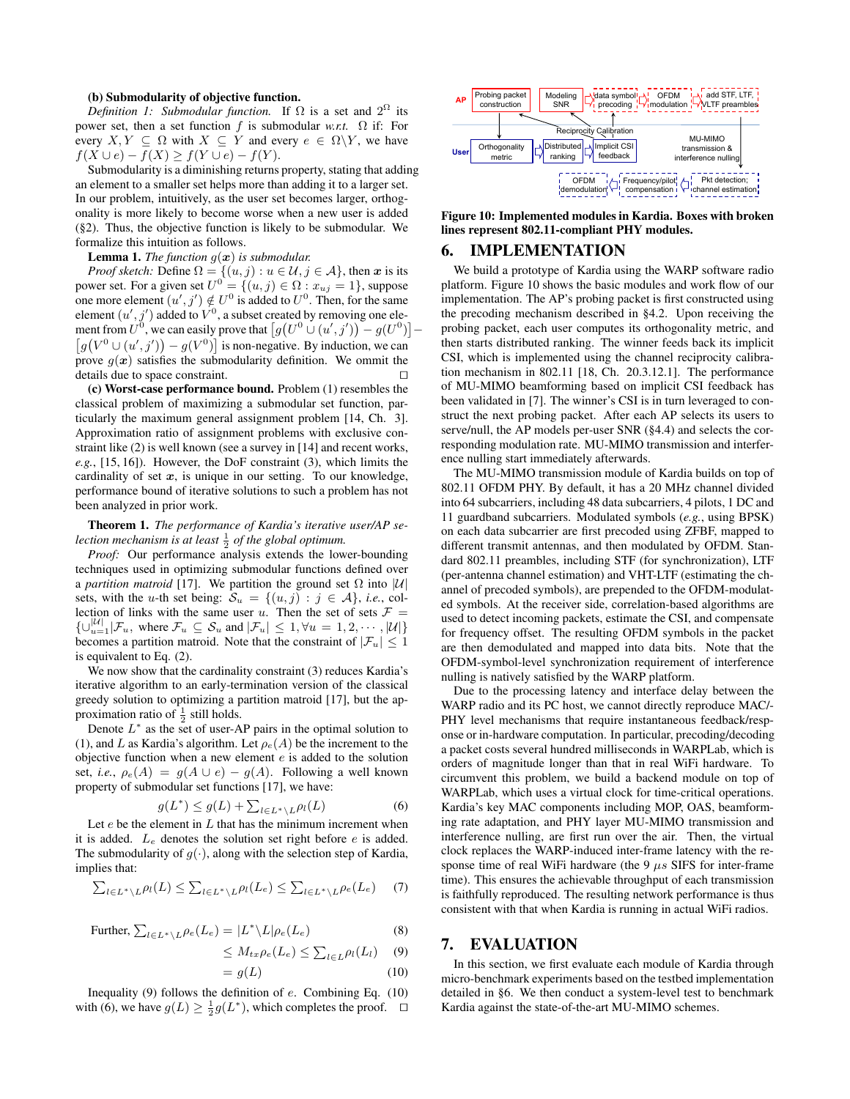#### (b) Submodularity of objective function.

*Definition 1: Submodular function.* If  $\Omega$  is a set and  $2^{\Omega}$  its power set, then a set function f is submodular *w.r.t.*  $\Omega$  if: For every  $X, Y \subseteq \Omega$  with  $X \subseteq Y$  and every  $e \in \Omega \backslash Y$ , we have  $f(X \cup e) - f(X) \geq f(Y \cup e) - f(Y).$ 

Submodularity is a diminishing returns property, stating that adding an element to a smaller set helps more than adding it to a larger set. In our problem, intuitively, as the user set becomes larger, orthogonality is more likely to become worse when a new user is added (§2). Thus, the objective function is likely to be submodular. We formalize this intuition as follows.

**Lemma 1.** *The function*  $g(x)$  *is submodular.* 

*Proof sketch:* Define  $\Omega = \{(u, j) : u \in \mathcal{U}, j \in \mathcal{A}\}$ , then  $x$  is its power set. For a given set  $U^0 = \{(u, j) \in \Omega : x_{uj} = 1\}$ , suppose one more element  $(u', j') \notin U^0$  is added to  $U^0$ . Then, for the same element  $(u', j')$  added to  $V^0$ , a subset created by removing one element from  $U^0$ , we can easily prove that  $[g(U^0 \cup (u', j')) - g(U^0)]$  –  $[g(V^0 \cup (u',j')) - g(V^0)]$  is non-negative. By induction, we can prove  $g(x)$  satisfies the submodularity definition. We ommit the details due to space constraint.  $\Box$ 

(c) Worst-case performance bound. Problem (1) resembles the classical problem of maximizing a submodular set function, particularly the maximum general assignment problem [14, Ch. 3]. Approximation ratio of assignment problems with exclusive constraint like (2) is well known (see a survey in [14] and recent works, *e.g.*, [15, 16]). However, the DoF constraint (3), which limits the cardinality of set  $x$ , is unique in our setting. To our knowledge, performance bound of iterative solutions to such a problem has not been analyzed in prior work.

Theorem 1. *The performance of Kardia's iterative user/AP selection mechanism is at least*  $\frac{1}{2}$  *of the global optimum.* 

*Proof:* Our performance analysis extends the lower-bounding techniques used in optimizing submodular functions defined over a *partition matroid* [17]. We partition the ground set  $\Omega$  into  $|\mathcal{U}|$ sets, with the u-th set being:  $S_u = \{(u, j) : j \in \mathcal{A}\}\)$ , *i.e.*, collection of links with the same user u. Then the set of sets  $\mathcal{F} =$  $\{ \bigcup_{u=1}^{\vert \mathcal{U} \vert} | \mathcal{F}_u, \text{ where } \mathcal{F}_u \subseteq \mathcal{S}_u \text{ and } |\mathcal{F}_u| \leq 1, \forall u = 1, 2, \cdots, \vert \mathcal{U} \vert \}$ becomes a partition matroid. Note that the constraint of  $|\mathcal{F}_u| \leq 1$ is equivalent to Eq. (2).

We now show that the cardinality constraint (3) reduces Kardia's iterative algorithm to an early-termination version of the classical greedy solution to optimizing a partition matroid [17], but the approximation ratio of  $\frac{1}{2}$  still holds.

Denote  $L^*$  as the set of user-AP pairs in the optimal solution to (1), and L as Kardia's algorithm. Let  $\rho_e(A)$  be the increment to the objective function when a new element  $e$  is added to the solution set, *i.e.*,  $\rho_e(A) = g(A \cup e) - g(A)$ . Following a well known property of submodular set functions [17], we have:

$$
g(L^*) \le g(L) + \sum_{l \in L^* \setminus L} \rho_l(L) \tag{6}
$$

Let  $e$  be the element in  $L$  that has the minimum increment when it is added.  $L_e$  denotes the solution set right before e is added. The submodularity of  $g(\cdot)$ , along with the selection step of Kardia, implies that:

$$
\sum_{l \in L^* \setminus L} \rho_l(L) \le \sum_{l \in L^* \setminus L} \rho_l(L_e) \le \sum_{l \in L^* \setminus L} \rho_e(L_e) \tag{7}
$$

Further, 
$$
\sum_{l \in L^* \setminus L} \rho_e(L_e) = |L^* \setminus L| \rho_e(L_e)
$$
 (8)

$$
\leq M_{tx}\rho_e(L_e) \leq \sum_{l\in L}\rho_l(L_l) \quad (9)
$$

$$
= q(L) \quad (10)
$$

$$
5(1)
$$

Inequality (9) follows the definition of e. Combining Eq. (10) with (6), we have  $g(L) \geq \frac{1}{2}g(L^*)$ , which completes the proof.  $\Box$ 



Figure 10: Implemented modules in Kardia. Boxes with broken lines represent 802.11-compliant PHY modules.

## 6. IMPLEMENTATION

We build a prototype of Kardia using the WARP software radio platform. Figure 10 shows the basic modules and work flow of our implementation. The AP's probing packet is first constructed using the precoding mechanism described in §4.2. Upon receiving the probing packet, each user computes its orthogonality metric, and then starts distributed ranking. The winner feeds back its implicit CSI, which is implemented using the channel reciprocity calibration mechanism in 802.11 [18, Ch. 20.3.12.1]. The performance of MU-MIMO beamforming based on implicit CSI feedback has been validated in [7]. The winner's CSI is in turn leveraged to construct the next probing packet. After each AP selects its users to serve/null, the AP models per-user SNR (§4.4) and selects the corresponding modulation rate. MU-MIMO transmission and interference nulling start immediately afterwards.

The MU-MIMO transmission module of Kardia builds on top of 802.11 OFDM PHY. By default, it has a 20 MHz channel divided into 64 subcarriers, including 48 data subcarriers, 4 pilots, 1 DC and 11 guardband subcarriers. Modulated symbols (*e.g.*, using BPSK) on each data subcarrier are first precoded using ZFBF, mapped to different transmit antennas, and then modulated by OFDM. Standard 802.11 preambles, including STF (for synchronization), LTF (per-antenna channel estimation) and VHT-LTF (estimating the channel of precoded symbols), are prepended to the OFDM-modulated symbols. At the receiver side, correlation-based algorithms are used to detect incoming packets, estimate the CSI, and compensate for frequency offset. The resulting OFDM symbols in the packet are then demodulated and mapped into data bits. Note that the OFDM-symbol-level synchronization requirement of interference nulling is natively satisfied by the WARP platform.

Due to the processing latency and interface delay between the WARP radio and its PC host, we cannot directly reproduce MAC/- PHY level mechanisms that require instantaneous feedback/response or in-hardware computation. In particular, precoding/decoding a packet costs several hundred milliseconds in WARPLab, which is orders of magnitude longer than that in real WiFi hardware. To circumvent this problem, we build a backend module on top of WARPLab, which uses a virtual clock for time-critical operations. Kardia's key MAC components including MOP, OAS, beamforming rate adaptation, and PHY layer MU-MIMO transmission and interference nulling, are first run over the air. Then, the virtual clock replaces the WARP-induced inter-frame latency with the response time of real WiFi hardware (the 9  $\mu$ s SIFS for inter-frame time). This ensures the achievable throughput of each transmission is faithfully reproduced. The resulting network performance is thus consistent with that when Kardia is running in actual WiFi radios.

## 7. EVALUATION

In this section, we first evaluate each module of Kardia through micro-benchmark experiments based on the testbed implementation detailed in §6. We then conduct a system-level test to benchmark Kardia against the state-of-the-art MU-MIMO schemes.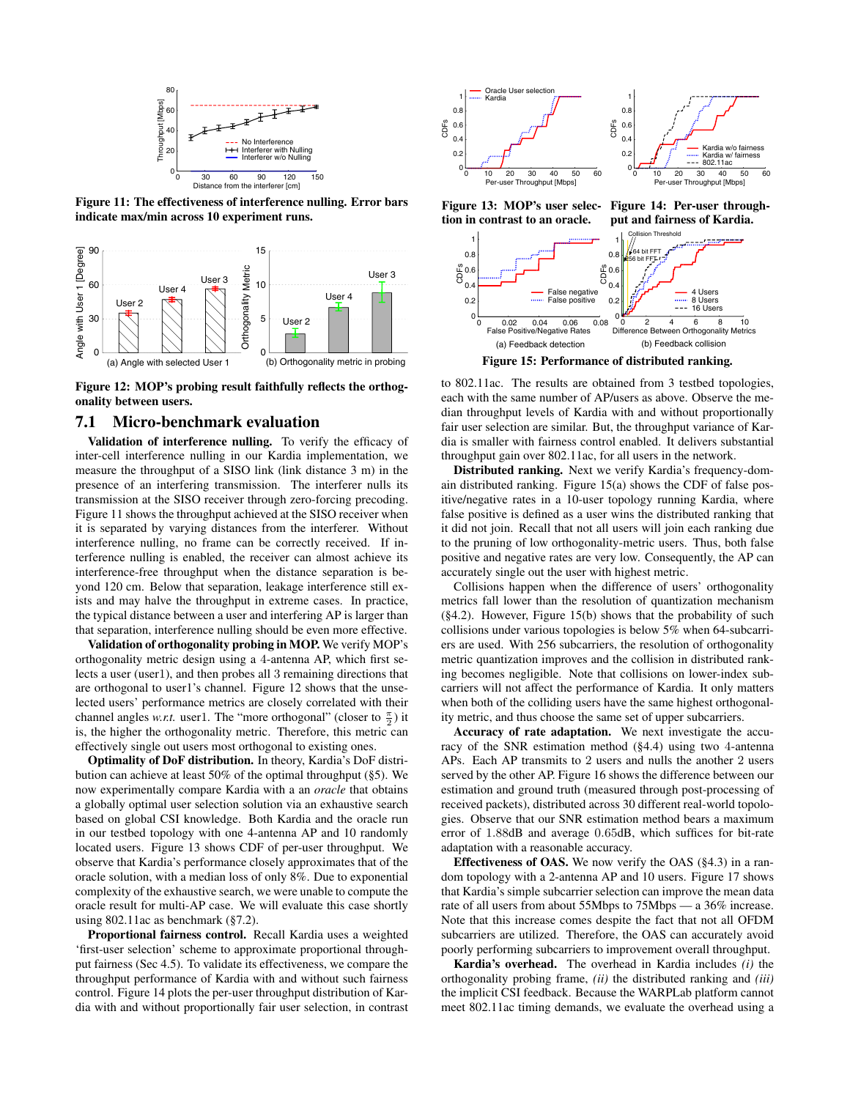

Figure 11: The effectiveness of interference nulling. Error bars indicate max/min across 10 experiment runs.



Figure 12: MOP's probing result faithfully reflects the orthogonality between users.

## 7.1 Micro-benchmark evaluation

Validation of interference nulling. To verify the efficacy of inter-cell interference nulling in our Kardia implementation, we measure the throughput of a SISO link (link distance 3 m) in the presence of an interfering transmission. The interferer nulls its transmission at the SISO receiver through zero-forcing precoding. Figure 11 shows the throughput achieved at the SISO receiver when it is separated by varying distances from the interferer. Without interference nulling, no frame can be correctly received. If interference nulling is enabled, the receiver can almost achieve its interference-free throughput when the distance separation is beyond 120 cm. Below that separation, leakage interference still exists and may halve the throughput in extreme cases. In practice, the typical distance between a user and interfering AP is larger than that separation, interference nulling should be even more effective.

Validation of orthogonality probing in MOP. We verify MOP's orthogonality metric design using a 4-antenna AP, which first selects a user (user1), and then probes all 3 remaining directions that are orthogonal to user1's channel. Figure 12 shows that the unselected users' performance metrics are closely correlated with their channel angles *w.r.t.* user1. The "more orthogonal" (closer to  $\frac{\pi}{2}$ ) it is, the higher the orthogonality metric. Therefore, this metric can effectively single out users most orthogonal to existing ones.

Optimality of DoF distribution. In theory, Kardia's DoF distribution can achieve at least 50% of the optimal throughput (§5). We now experimentally compare Kardia with a an *oracle* that obtains a globally optimal user selection solution via an exhaustive search based on global CSI knowledge. Both Kardia and the oracle run in our testbed topology with one 4-antenna AP and 10 randomly located users. Figure 13 shows CDF of per-user throughput. We observe that Kardia's performance closely approximates that of the oracle solution, with a median loss of only 8%. Due to exponential complexity of the exhaustive search, we were unable to compute the oracle result for multi-AP case. We will evaluate this case shortly using 802.11ac as benchmark (§7.2).

Proportional fairness control. Recall Kardia uses a weighted 'first-user selection' scheme to approximate proportional throughput fairness (Sec 4.5). To validate its effectiveness, we compare the throughput performance of Kardia with and without such fairness control. Figure 14 plots the per-user throughput distribution of Kardia with and without proportionally fair user selection, in contrast



Figure 13: MOP's user selec-Figure 14: Per-user throughtion in contrast to an oracle.





Figure 15: Performance of distributed ranking.

to 802.11ac. The results are obtained from 3 testbed topologies, each with the same number of AP/users as above. Observe the median throughput levels of Kardia with and without proportionally fair user selection are similar. But, the throughput variance of Kardia is smaller with fairness control enabled. It delivers substantial throughput gain over 802.11ac, for all users in the network.

Distributed ranking. Next we verify Kardia's frequency-domain distributed ranking. Figure 15(a) shows the CDF of false positive/negative rates in a 10-user topology running Kardia, where false positive is defined as a user wins the distributed ranking that it did not join. Recall that not all users will join each ranking due to the pruning of low orthogonality-metric users. Thus, both false positive and negative rates are very low. Consequently, the AP can accurately single out the user with highest metric.

Collisions happen when the difference of users' orthogonality metrics fall lower than the resolution of quantization mechanism (§4.2). However, Figure 15(b) shows that the probability of such collisions under various topologies is below 5% when 64-subcarriers are used. With 256 subcarriers, the resolution of orthogonality metric quantization improves and the collision in distributed ranking becomes negligible. Note that collisions on lower-index subcarriers will not affect the performance of Kardia. It only matters when both of the colliding users have the same highest orthogonality metric, and thus choose the same set of upper subcarriers.

Accuracy of rate adaptation. We next investigate the accuracy of the SNR estimation method (§4.4) using two 4-antenna APs. Each AP transmits to 2 users and nulls the another 2 users served by the other AP. Figure 16 shows the difference between our estimation and ground truth (measured through post-processing of received packets), distributed across 30 different real-world topologies. Observe that our SNR estimation method bears a maximum error of 1.88dB and average 0.65dB, which suffices for bit-rate adaptation with a reasonable accuracy.

Effectiveness of OAS. We now verify the OAS (§4.3) in a random topology with a 2-antenna AP and 10 users. Figure 17 shows that Kardia's simple subcarrier selection can improve the mean data rate of all users from about 55Mbps to 75Mbps — a 36% increase. Note that this increase comes despite the fact that not all OFDM subcarriers are utilized. Therefore, the OAS can accurately avoid poorly performing subcarriers to improvement overall throughput.

Kardia's overhead. The overhead in Kardia includes *(i)* the orthogonality probing frame, *(ii)* the distributed ranking and *(iii)* the implicit CSI feedback. Because the WARPLab platform cannot meet 802.11ac timing demands, we evaluate the overhead using a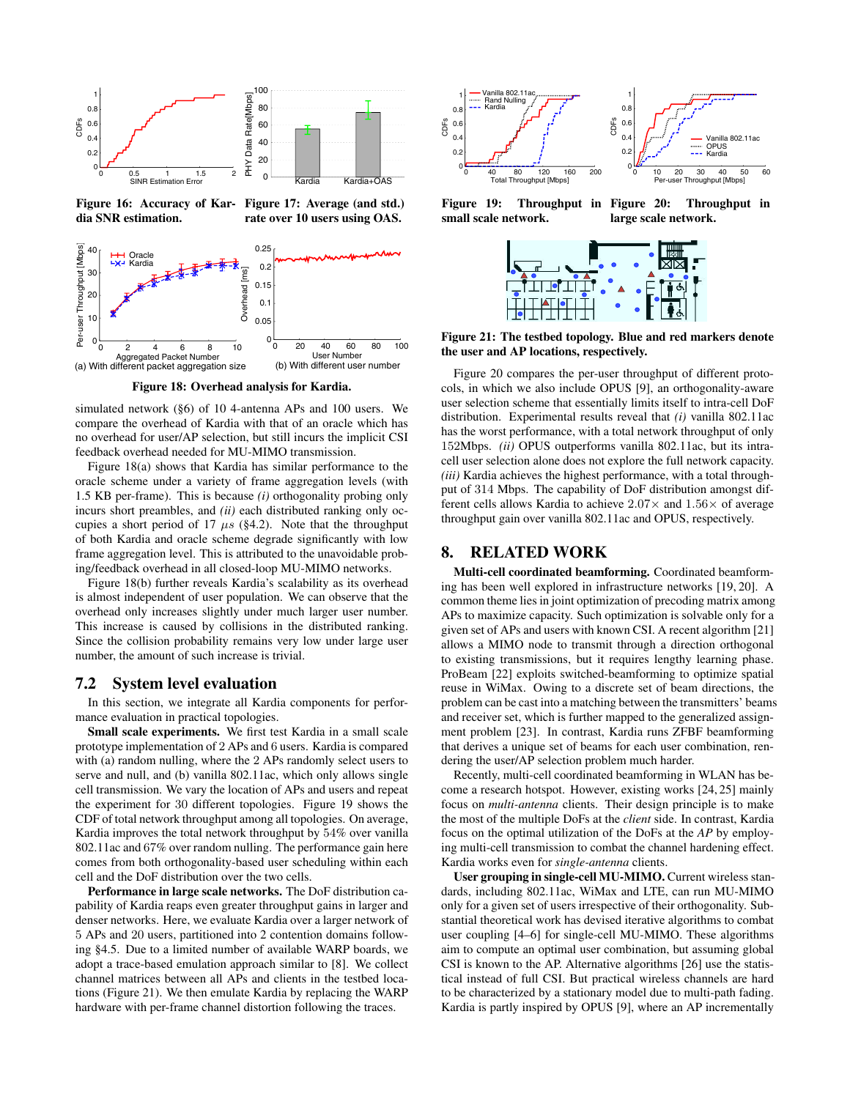

Figure 16: Accuracy of Kardia SNR estimation.

Figure 17: Average (and std.) rate over 10 users using OAS.



Figure 18: Overhead analysis for Kardia.

simulated network (§6) of 10 4-antenna APs and 100 users. We compare the overhead of Kardia with that of an oracle which has no overhead for user/AP selection, but still incurs the implicit CSI feedback overhead needed for MU-MIMO transmission.

Figure 18(a) shows that Kardia has similar performance to the oracle scheme under a variety of frame aggregation levels (with 1.5 KB per-frame). This is because *(i)* orthogonality probing only incurs short preambles, and *(ii)* each distributed ranking only occupies a short period of 17  $\mu s$  (§4.2). Note that the throughput of both Kardia and oracle scheme degrade significantly with low frame aggregation level. This is attributed to the unavoidable probing/feedback overhead in all closed-loop MU-MIMO networks.

Figure 18(b) further reveals Kardia's scalability as its overhead is almost independent of user population. We can observe that the overhead only increases slightly under much larger user number. This increase is caused by collisions in the distributed ranking. Since the collision probability remains very low under large user number, the amount of such increase is trivial.

#### 7.2 System level evaluation

In this section, we integrate all Kardia components for performance evaluation in practical topologies.

Small scale experiments. We first test Kardia in a small scale prototype implementation of 2 APs and 6 users. Kardia is compared with (a) random nulling, where the 2 APs randomly select users to serve and null, and (b) vanilla 802.11ac, which only allows single cell transmission. We vary the location of APs and users and repeat the experiment for 30 different topologies. Figure 19 shows the CDF of total network throughput among all topologies. On average, Kardia improves the total network throughput by 54% over vanilla 802.11ac and 67% over random nulling. The performance gain here comes from both orthogonality-based user scheduling within each cell and the DoF distribution over the two cells.

Performance in large scale networks. The DoF distribution capability of Kardia reaps even greater throughput gains in larger and denser networks. Here, we evaluate Kardia over a larger network of 5 APs and 20 users, partitioned into 2 contention domains following §4.5. Due to a limited number of available WARP boards, we adopt a trace-based emulation approach similar to [8]. We collect channel matrices between all APs and clients in the testbed locations (Figure 21). We then emulate Kardia by replacing the WARP hardware with per-frame channel distortion following the traces.



Figure 19: Throughput in Figure 20: small scale network. Throughput in large scale network.



Figure 21: The testbed topology. Blue and red markers denote the user and AP locations, respectively.

Figure 20 compares the per-user throughput of different protocols, in which we also include OPUS [9], an orthogonality-aware user selection scheme that essentially limits itself to intra-cell DoF distribution. Experimental results reveal that *(i)* vanilla 802.11ac has the worst performance, with a total network throughput of only 152Mbps. *(ii)* OPUS outperforms vanilla 802.11ac, but its intracell user selection alone does not explore the full network capacity. *(iii)* Kardia achieves the highest performance, with a total throughput of 314 Mbps. The capability of DoF distribution amongst different cells allows Kardia to achieve  $2.07\times$  and  $1.56\times$  of average throughput gain over vanilla 802.11ac and OPUS, respectively.

## 8. RELATED WORK

Multi-cell coordinated beamforming. Coordinated beamforming has been well explored in infrastructure networks [19, 20]. A common theme lies in joint optimization of precoding matrix among APs to maximize capacity. Such optimization is solvable only for a given set of APs and users with known CSI. A recent algorithm [21] allows a MIMO node to transmit through a direction orthogonal to existing transmissions, but it requires lengthy learning phase. ProBeam [22] exploits switched-beamforming to optimize spatial reuse in WiMax. Owing to a discrete set of beam directions, the problem can be cast into a matching between the transmitters' beams and receiver set, which is further mapped to the generalized assignment problem [23]. In contrast, Kardia runs ZFBF beamforming that derives a unique set of beams for each user combination, rendering the user/AP selection problem much harder.

Recently, multi-cell coordinated beamforming in WLAN has become a research hotspot. However, existing works [24, 25] mainly focus on *multi-antenna* clients. Their design principle is to make the most of the multiple DoFs at the *client* side. In contrast, Kardia focus on the optimal utilization of the DoFs at the *AP* by employing multi-cell transmission to combat the channel hardening effect. Kardia works even for *single-antenna* clients.

User grouping in single-cell MU-MIMO. Current wireless standards, including 802.11ac, WiMax and LTE, can run MU-MIMO only for a given set of users irrespective of their orthogonality. Substantial theoretical work has devised iterative algorithms to combat user coupling [4–6] for single-cell MU-MIMO. These algorithms aim to compute an optimal user combination, but assuming global CSI is known to the AP. Alternative algorithms [26] use the statistical instead of full CSI. But practical wireless channels are hard to be characterized by a stationary model due to multi-path fading. Kardia is partly inspired by OPUS [9], where an AP incrementally